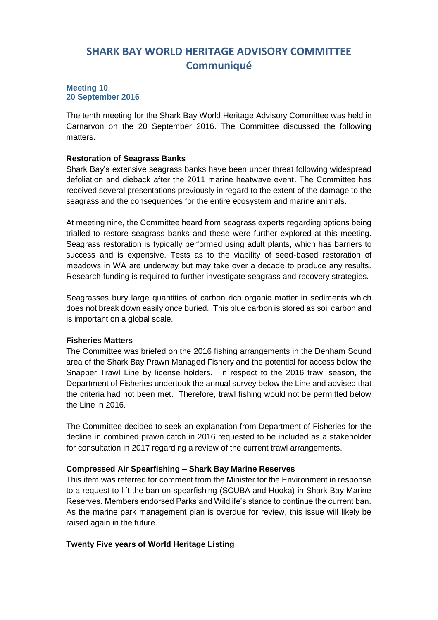## **SHARK BAY WORLD HERITAGE ADVISORY COMMITTEE Communiqué**

#### **Meeting 10 20 September 2016**

The tenth meeting for the Shark Bay World Heritage Advisory Committee was held in Carnarvon on the 20 September 2016. The Committee discussed the following matters.

### **Restoration of Seagrass Banks**

Shark Bay's extensive seagrass banks have been under threat following widespread defoliation and dieback after the 2011 marine heatwave event. The Committee has received several presentations previously in regard to the extent of the damage to the seagrass and the consequences for the entire ecosystem and marine animals.

At meeting nine, the Committee heard from seagrass experts regarding options being trialled to restore seagrass banks and these were further explored at this meeting. Seagrass restoration is typically performed using adult plants, which has barriers to success and is expensive. Tests as to the viability of seed-based restoration of meadows in WA are underway but may take over a decade to produce any results. Research funding is required to further investigate seagrass and recovery strategies.

Seagrasses bury large quantities of carbon rich organic matter in sediments which does not break down easily once buried. This blue carbon is stored as soil carbon and is important on a global scale.

### **Fisheries Matters**

The Committee was briefed on the 2016 fishing arrangements in the Denham Sound area of the Shark Bay Prawn Managed Fishery and the potential for access below the Snapper Trawl Line by license holders. In respect to the 2016 trawl season, the Department of Fisheries undertook the annual survey below the Line and advised that the criteria had not been met. Therefore, trawl fishing would not be permitted below the Line in 2016.

The Committee decided to seek an explanation from Department of Fisheries for the decline in combined prawn catch in 2016 requested to be included as a stakeholder for consultation in 2017 regarding a review of the current trawl arrangements.

### **Compressed Air Spearfishing – Shark Bay Marine Reserves**

This item was referred for comment from the Minister for the Environment in response to a request to lift the ban on spearfishing (SCUBA and Hooka) in Shark Bay Marine Reserves. Members endorsed Parks and Wildlife's stance to continue the current ban. As the marine park management plan is overdue for review, this issue will likely be raised again in the future.

### **Twenty Five years of World Heritage Listing**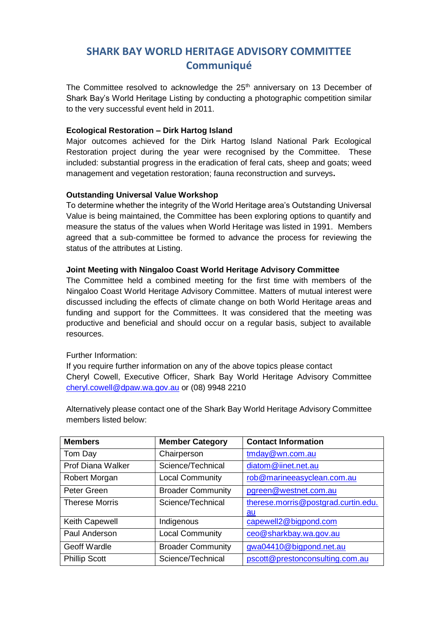## **SHARK BAY WORLD HERITAGE ADVISORY COMMITTEE Communiqué**

The Committee resolved to acknowledge the 25<sup>th</sup> anniversary on 13 December of Shark Bay's World Heritage Listing by conducting a photographic competition similar to the very successful event held in 2011.

### **Ecological Restoration – Dirk Hartog Island**

Major outcomes achieved for the Dirk Hartog Island National Park Ecological Restoration project during the year were recognised by the Committee. These included: substantial progress in the eradication of feral cats, sheep and goats; weed management and vegetation restoration; fauna reconstruction and surveys**.**

### **Outstanding Universal Value Workshop**

To determine whether the integrity of the World Heritage area's Outstanding Universal Value is being maintained, the Committee has been exploring options to quantify and measure the status of the values when World Heritage was listed in 1991. Members agreed that a sub-committee be formed to advance the process for reviewing the status of the attributes at Listing.

### **Joint Meeting with Ningaloo Coast World Heritage Advisory Committee**

The Committee held a combined meeting for the first time with members of the Ningaloo Coast World Heritage Advisory Committee. Matters of mutual interest were discussed including the effects of climate change on both World Heritage areas and funding and support for the Committees. It was considered that the meeting was productive and beneficial and should occur on a regular basis, subject to available resources.

### Further Information:

If you require further information on any of the above topics please contact Cheryl Cowell, Executive Officer, Shark Bay World Heritage Advisory Committee [cheryl.cowell@dpaw.wa.gov.au](mailto:cheryl.cowell@dpaw.wa.gov.au) or (08) 9948 2210

Alternatively please contact one of the Shark Bay World Heritage Advisory Committee members listed below:

| <b>Members</b>           | <b>Member Category</b>   | <b>Contact Information</b>          |
|--------------------------|--------------------------|-------------------------------------|
| Tom Day                  | Chairperson              | tmday@wn.com.au                     |
| <b>Prof Diana Walker</b> | Science/Technical        | diatom@iinet.net.au                 |
| Robert Morgan            | <b>Local Community</b>   | rob@marineeasyclean.com.au          |
| Peter Green              | <b>Broader Community</b> | pgreen@westnet.com.au               |
| <b>Therese Morris</b>    | Science/Technical        | therese.morris@postgrad.curtin.edu. |
|                          |                          | au                                  |
| Keith Capewell           | Indigenous               | capewell2@bigpond.com               |
| Paul Anderson            | <b>Local Community</b>   | ceo@sharkbay.wa.gov.au              |
| Geoff Wardle             | <b>Broader Community</b> | gwa04410@bigpond.net.au             |
| <b>Phillip Scott</b>     | Science/Technical        | pscott@prestonconsulting.com.au     |